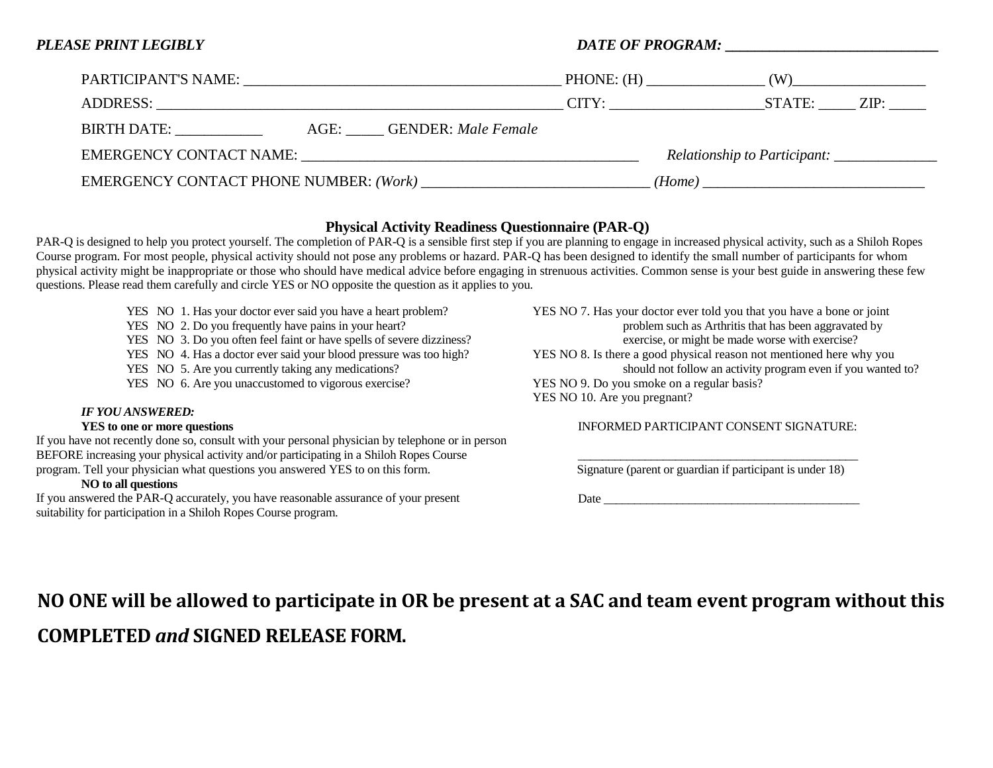| PLEASE PRINT LEGIBLY                           |                                             |                    |
|------------------------------------------------|---------------------------------------------|--------------------|
|                                                |                                             | $PHONE: (H)$ $(W)$ |
|                                                |                                             |                    |
| <b>BIRTH DATE:</b><br>AGE: GENDER: Male Female |                                             |                    |
|                                                | Relationship to Participant: ______________ |                    |
|                                                | (Home)                                      |                    |

## **Physical Activity Readiness Questionnaire (PAR-Q)**

PAR-Q is designed to help you protect yourself. The completion of PAR-Q is a sensible first step if you are planning to engage in increased physical activity, such as a Shiloh Ropes Course program. For most people, physical activity should not pose any problems or hazard. PAR-Q has been designed to identify the small number of participants for whom physical activity might be inappropriate or those who should have medical advice before engaging in strenuous activities. Common sense is your best guide in answering these few questions. Please read them carefully and circle YES or NO opposite the question as it applies to you.

- YES NO 1. Has your doctor ever said you have a heart problem?
- YES NO 2. Do you frequently have pains in your heart?
- YES NO 3. Do you often feel faint or have spells of severe dizziness?
- YES NO 4. Has a doctor ever said your blood pressure was too high?
- YES NO 5. Are you currently taking any medications?
- YES NO 6. Are you unaccustomed to vigorous exercise?

#### *IF YOU ANSWERED:*

#### **YES to one or more questions**

If you have not recently done so, consult with your personal physician by telephone or in person BEFORE increasing your physical activity and/or participating in a Shiloh Ropes Course program. Tell your physician what questions you answered YES to on this form.

### **NO to all questions**

If you answered the PAR-Q accurately, you have reasonable assurance of your present suitability for participation in a Shiloh Ropes Course program.

YES NO 7. Has your doctor ever told you that you have a bone or joint problem such as Arthritis that has been aggravated by exercise, or might be made worse with exercise? YES NO 8. Is there a good physical reason not mentioned here why you should not follow an activity program even if you wanted to? YES NO 9. Do you smoke on a regular basis? YES NO 10. Are you pregnant?

### INFORMED PARTICIPANT CONSENT SIGNATURE:

\_\_\_\_\_\_\_\_\_\_\_\_\_\_\_\_\_\_\_\_\_\_\_\_\_\_\_\_\_\_\_\_\_\_\_\_\_\_\_\_\_\_\_\_\_\_ Signature (parent or guardian if participant is under 18)

 $Date$   $\overline{\phantom{a}}$ 

# **NO ONE will be allowed to participate in OR be present at a SAC and team event program without this COMPLETED** *and* **SIGNED RELEASE FORM.**